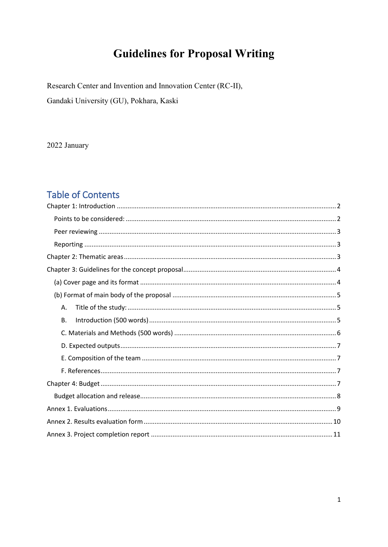# **Guidelines for Proposal Writing**

Research Center and Invention and Innovation Center (RC-II),

Gandaki University (GU), Pokhara, Kaski

2022 January

# **Table of Contents**

| Α.        |  |
|-----------|--|
| <b>B.</b> |  |
|           |  |
|           |  |
|           |  |
|           |  |
|           |  |
|           |  |
|           |  |
|           |  |
|           |  |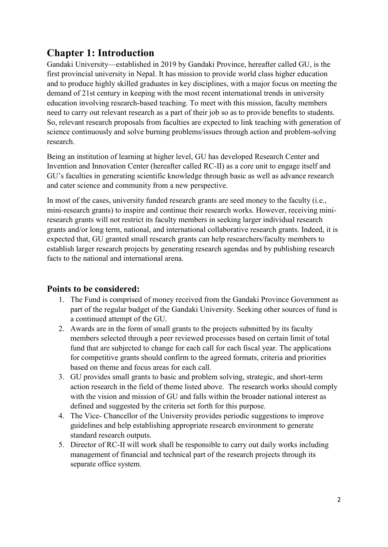## <span id="page-1-0"></span>**Chapter 1: Introduction**

Gandaki University—established in 2019 by Gandaki Province, hereafter called GU, is the first provincial university in Nepal. It has mission to provide world class higher education and to produce highly skilled graduates in key disciplines, with a major focus on meeting the demand of 21st century in keeping with the most recent international trends in university education involving research-based teaching. To meet with this mission, faculty members need to carry out relevant research as a part of their job so as to provide benefits to students. So, relevant research proposals from faculties are expected to link teaching with generation of science continuously and solve burning problems/issues through action and problem-solving research.

Being an institution of learning at higher level, GU has developed Research Center and Invention and Innovation Center (hereafter called RC-II) as a core unit to engage itself and GU's faculties in generating scientific knowledge through basic as well as advance research and cater science and community from a new perspective.

In most of the cases, university funded research grants are seed money to the faculty (i.e., mini-research grants) to inspire and continue their research works. However, receiving miniresearch grants will not restrict its faculty members in seeking larger individual research grants and/or long term, national, and international collaborative research grants. Indeed, it is expected that, GU granted small research grants can help researchers/faculty members to establish larger research projects by generating research agendas and by publishing research facts to the national and international arena.

### <span id="page-1-1"></span>**Points to be considered:**

- 1. The Fund is comprised of money received from the Gandaki Province Government as part of the regular budget of the Gandaki University. Seeking other sources of fund is a continued attempt of the GU.
- 2. Awards are in the form of small grants to the projects submitted by its faculty members selected through a peer reviewed processes based on certain limit of total fund that are subjected to change for each call for each fiscal year. The applications for competitive grants should confirm to the agreed formats, criteria and priorities based on theme and focus areas for each call.
- 3. GU provides small grants to basic and problem solving, strategic, and short-term action research in the field of theme listed above. The research works should comply with the vision and mission of GU and falls within the broader national interest as defined and suggested by the criteria set forth for this purpose.
- 4. The Vice- Chancellor of the University provides periodic suggestions to improve guidelines and help establishing appropriate research environment to generate standard research outputs.
- 5. Director of RC-II will work shall be responsible to carry out daily works including management of financial and technical part of the research projects through its separate office system.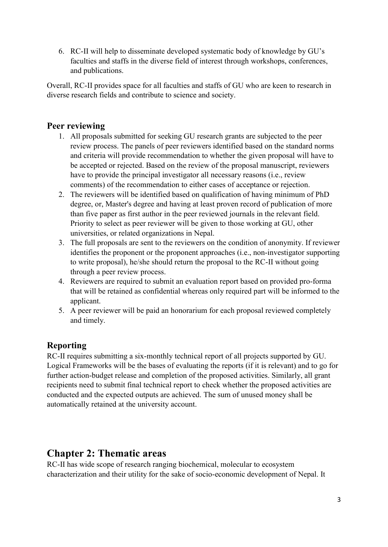6. RC-II will help to disseminate developed systematic body of knowledge by GU's faculties and staffs in the diverse field of interest through workshops, conferences, and publications.

Overall, RC-II provides space for all faculties and staffs of GU who are keen to research in diverse research fields and contribute to science and society.

### <span id="page-2-0"></span>**Peer reviewing**

- 1. All proposals submitted for seeking GU research grants are subjected to the peer review process. The panels of peer reviewers identified based on the standard norms and criteria will provide recommendation to whether the given proposal will have to be accepted or rejected. Based on the review of the proposal manuscript, reviewers have to provide the principal investigator all necessary reasons (i.e., review comments) of the recommendation to either cases of acceptance or rejection.
- 2. The reviewers will be identified based on qualification of having minimum of PhD degree, or, Master's degree and having at least proven record of publication of more than five paper as first author in the peer reviewed journals in the relevant field. Priority to select as peer reviewer will be given to those working at GU, other universities, or related organizations in Nepal.
- 3. The full proposals are sent to the reviewers on the condition of anonymity. If reviewer identifies the proponent or the proponent approaches (i.e., non-investigator supporting to write proposal), he/she should return the proposal to the RC-II without going through a peer review process.
- 4. Reviewers are required to submit an evaluation report based on provided pro-forma that will be retained as confidential whereas only required part will be informed to the applicant.
- 5. A peer reviewer will be paid an honorarium for each proposal reviewed completely and timely.

### <span id="page-2-1"></span>**Reporting**

RC-II requires submitting a six-monthly technical report of all projects supported by GU. Logical Frameworks will be the bases of evaluating the reports (if it is relevant) and to go for further action-budget release and completion of the proposed activities. Similarly, all grant recipients need to submit final technical report to check whether the proposed activities are conducted and the expected outputs are achieved. The sum of unused money shall be automatically retained at the university account.

## <span id="page-2-2"></span>**Chapter 2: Thematic areas**

RC-II has wide scope of research ranging biochemical, molecular to ecosystem characterization and their utility for the sake of socio-economic development of Nepal. It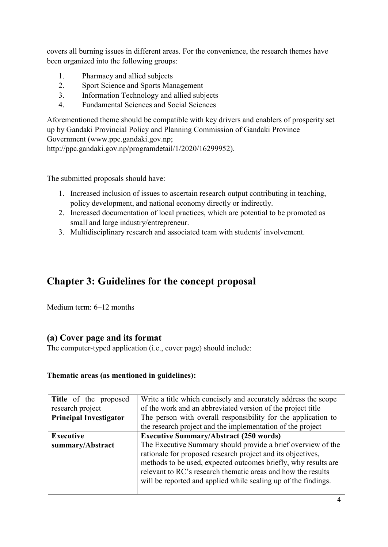covers all burning issues in different areas. For the convenience, the research themes have been organized into the following groups:

- 1. Pharmacy and allied subjects
- 2. Sport Science and Sports Management
- 3. Information Technology and allied subjects
- 4. Fundamental Sciences and Social Sciences

Aforementioned theme should be compatible with key drivers and enablers of prosperity set up by Gandaki Provincial Policy and Planning Commission of Gandaki Province Government (www.ppc.gandaki.gov.np; http://ppc.gandaki.gov.np/programdetail/1/2020/16299952).

The submitted proposals should have:

- 1. Increased inclusion of issues to ascertain research output contributing in teaching, policy development, and national economy directly or indirectly.
- 2. Increased documentation of local practices, which are potential to be promoted as small and large industry/entrepreneur.
- 3. Multidisciplinary research and associated team with students' involvement.

## <span id="page-3-0"></span>**Chapter 3: Guidelines for the concept proposal**

Medium term: 6–12 months

### <span id="page-3-1"></span>**(a) Cover page and its format**

The computer-typed application (i.e., cover page) should include:

#### **Thematic areas (as mentioned in guidelines):**

| Title of the proposed         | Write a title which concisely and accurately address the scope |  |  |
|-------------------------------|----------------------------------------------------------------|--|--|
| research project              | of the work and an abbreviated version of the project title    |  |  |
| <b>Principal Investigator</b> | The person with overall responsibility for the application to  |  |  |
|                               | the research project and the implementation of the project     |  |  |
| <b>Executive</b>              | <b>Executive Summary/Abstract (250 words)</b>                  |  |  |
| summary/Abstract              | The Executive Summary should provide a brief overview of the   |  |  |
|                               | rationale for proposed research project and its objectives,    |  |  |
|                               | methods to be used, expected outcomes briefly, why results are |  |  |
|                               | relevant to RC's research thematic areas and how the results   |  |  |
|                               | will be reported and applied while scaling up of the findings. |  |  |
|                               |                                                                |  |  |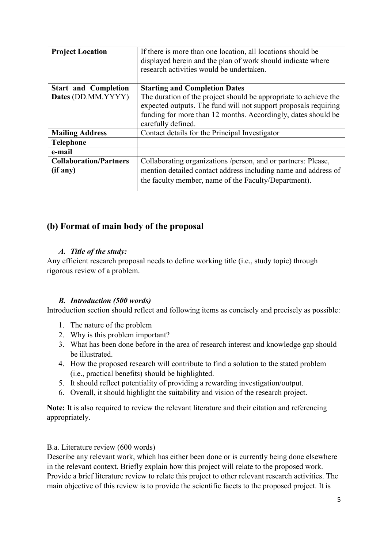| <b>Project Location</b>                   | If there is more than one location, all locations should be<br>displayed herein and the plan of work should indicate where<br>research activities would be undertaken.                                                     |  |
|-------------------------------------------|----------------------------------------------------------------------------------------------------------------------------------------------------------------------------------------------------------------------------|--|
| <b>Start and Completion</b>               | <b>Starting and Completion Dates</b>                                                                                                                                                                                       |  |
| Dates (DD.MM.YYYY)                        | The duration of the project should be appropriate to achieve the<br>expected outputs. The fund will not support proposals requiring<br>funding for more than 12 months. Accordingly, dates should be<br>carefully defined. |  |
| <b>Mailing Address</b>                    | Contact details for the Principal Investigator                                                                                                                                                                             |  |
| <b>Telephone</b>                          |                                                                                                                                                                                                                            |  |
| e-mail                                    |                                                                                                                                                                                                                            |  |
| <b>Collaboration/Partners</b><br>(if any) | Collaborating organizations /person, and or partners: Please,<br>mention detailed contact address including name and address of                                                                                            |  |
|                                           | the faculty member, name of the Faculty/Department).                                                                                                                                                                       |  |

### <span id="page-4-0"></span>**(b) Format of main body of the proposal**

#### *A. Title of the study:*

<span id="page-4-1"></span>Any efficient research proposal needs to define working title (i.e., study topic) through rigorous review of a problem.

#### *B. Introduction (500 words)*

<span id="page-4-2"></span>Introduction section should reflect and following items as concisely and precisely as possible:

- 1. The nature of the problem
- 2. Why is this problem important?
- 3. What has been done before in the area of research interest and knowledge gap should be illustrated.
- 4. How the proposed research will contribute to find a solution to the stated problem (i.e., practical benefits) should be highlighted.
- 5. It should reflect potentiality of providing a rewarding investigation/output.
- 6. Overall, it should highlight the suitability and vision of the research project.

**Note:** It is also required to review the relevant literature and their citation and referencing appropriately.

#### B.a. Literature review (600 words)

Describe any relevant work, which has either been done or is currently being done elsewhere in the relevant context. Briefly explain how this project will relate to the proposed work. Provide a brief literature review to relate this project to other relevant research activities. The main objective of this review is to provide the scientific facets to the proposed project. It is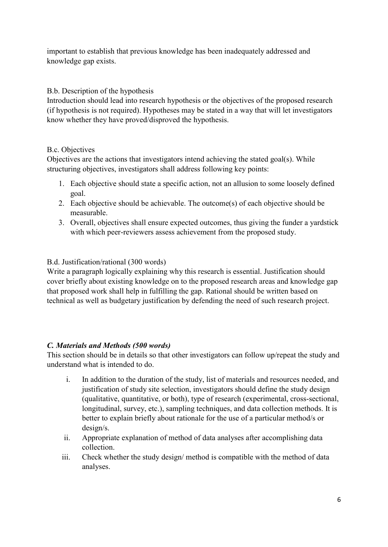important to establish that previous knowledge has been inadequately addressed and knowledge gap exists.

#### B.b. Description of the hypothesis

Introduction should lead into research hypothesis or the objectives of the proposed research (if hypothesis is not required). Hypotheses may be stated in a way that will let investigators know whether they have proved/disproved the hypothesis.

#### B.c. Objectives

Objectives are the actions that investigators intend achieving the stated goal(s). While structuring objectives, investigators shall address following key points:

- 1. Each objective should state a specific action, not an allusion to some loosely defined goal.
- 2. Each objective should be achievable. The outcome(s) of each objective should be measurable.
- 3. Overall, objectives shall ensure expected outcomes, thus giving the funder a yardstick with which peer-reviewers assess achievement from the proposed study.

#### B.d. Justification/rational (300 words)

Write a paragraph logically explaining why this research is essential. Justification should cover briefly about existing knowledge on to the proposed research areas and knowledge gap that proposed work shall help in fulfilling the gap. Rational should be written based on technical as well as budgetary justification by defending the need of such research project.

#### <span id="page-5-0"></span>*C. Materials and Methods (500 words)*

This section should be in details so that other investigators can follow up/repeat the study and understand what is intended to do.

- i. In addition to the duration of the study, list of materials and resources needed, and justification of study site selection, investigators should define the study design (qualitative, quantitative, or both), type of research (experimental, cross-sectional, longitudinal, survey, etc.), sampling techniques, and data collection methods. It is better to explain briefly about rationale for the use of a particular method/s or design/s.
- ii. Appropriate explanation of method of data analyses after accomplishing data collection.
- iii. Check whether the study design/ method is compatible with the method of data analyses.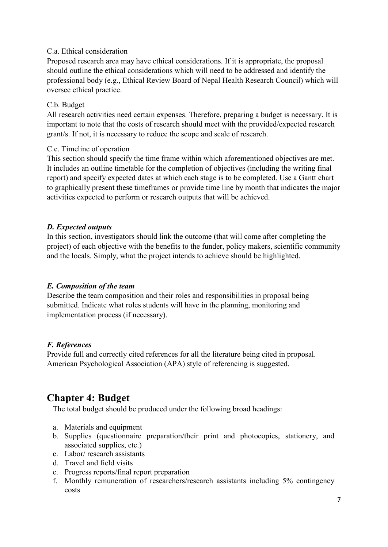#### C.a. Ethical consideration

Proposed research area may have ethical considerations. If it is appropriate, the proposal should outline the ethical considerations which will need to be addressed and identify the professional body (e.g., Ethical Review Board of Nepal Health Research Council) which will oversee ethical practice.

#### C.b. Budget

All research activities need certain expenses. Therefore, preparing a budget is necessary. It is important to note that the costs of research should meet with the provided/expected research grant/s. If not, it is necessary to reduce the scope and scale of research.

#### C.c. Timeline of operation

This section should specify the time frame within which aforementioned objectives are met. It includes an outline timetable for the completion of objectives (including the writing final report) and specify expected dates at which each stage is to be completed. Use a Gantt chart to graphically present these timeframes or provide time line by month that indicates the major activities expected to perform or research outputs that will be achieved.

#### <span id="page-6-0"></span>*D. Expected outputs*

In this section, investigators should link the outcome (that will come after completing the project) of each objective with the benefits to the funder, policy makers, scientific community and the locals. Simply, what the project intends to achieve should be highlighted.

#### <span id="page-6-1"></span>*E. Composition of the team*

Describe the team composition and their roles and responsibilities in proposal being submitted. Indicate what roles students will have in the planning, monitoring and implementation process (if necessary).

#### <span id="page-6-2"></span>*F. References*

Provide full and correctly cited references for all the literature being cited in proposal. American Psychological Association (APA) style of referencing is suggested.

## <span id="page-6-3"></span>**Chapter 4: Budget**

The total budget should be produced under the following broad headings:

- a. Materials and equipment
- b. Supplies (questionnaire preparation/their print and photocopies, stationery, and associated supplies, etc.)
- c. Labor/ research assistants
- d. Travel and field visits
- e. Progress reports/final report preparation
- f. Monthly remuneration of researchers/research assistants including 5% contingency costs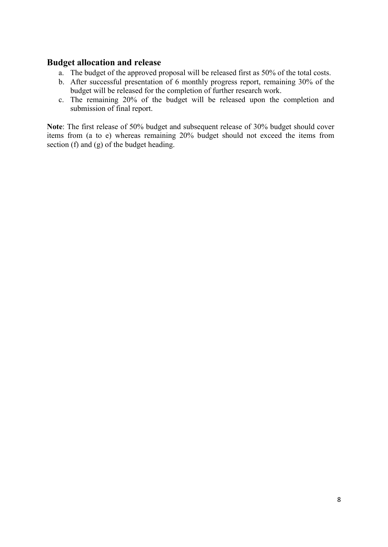### <span id="page-7-0"></span>**Budget allocation and release**

- a. The budget of the approved proposal will be released first as 50% of the total costs.
- b. After successful presentation of 6 monthly progress report, remaining 30% of the budget will be released for the completion of further research work.
- c. The remaining 20% of the budget will be released upon the completion and submission of final report.

**Note**: The first release of 50% budget and subsequent release of 30% budget should cover items from (a to e) whereas remaining 20% budget should not exceed the items from section (f) and (g) of the budget heading.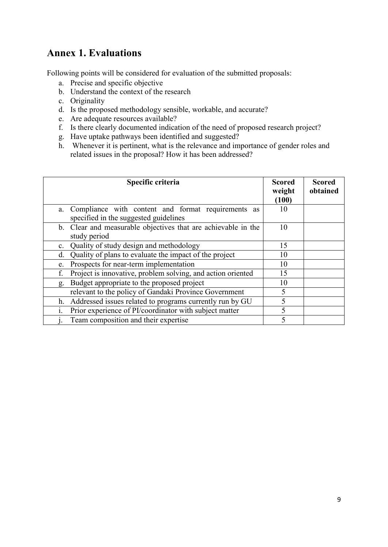## <span id="page-8-0"></span>**Annex 1. Evaluations**

Following points will be considered for evaluation of the submitted proposals:

- a. Precise and specific objective
- b. Understand the context of the research
- c. Originality
- d. Is the proposed methodology sensible, workable, and accurate?
- e. Are adequate resources available?
- f. Is there clearly documented indication of the need of proposed research project?
- g. Have uptake pathways been identified and suggested?
- h. Whenever it is pertinent, what is the relevance and importance of gender roles and related issues in the proposal? How it has been addressed?

| Specific criteria                                                                                 | <b>Scored</b><br>weight<br>(100) | <b>Scored</b><br>obtained |  |
|---------------------------------------------------------------------------------------------------|----------------------------------|---------------------------|--|
| Compliance with content and format requirements as<br>a.<br>specified in the suggested guidelines | 10                               |                           |  |
| b. Clear and measurable objectives that are achievable in the<br>study period                     | 10                               |                           |  |
| Quality of study design and methodology<br>$\mathbf{c}$ .                                         | 15                               |                           |  |
| Quality of plans to evaluate the impact of the project<br>d.                                      | 10                               |                           |  |
| Prospects for near-term implementation<br>10<br>e.                                                |                                  |                           |  |
| Project is innovative, problem solving, and action oriented<br>f.                                 | 15                               |                           |  |
| Budget appropriate to the proposed project<br>g.                                                  | 10                               |                           |  |
| relevant to the policy of Gandaki Province Government                                             | 5                                |                           |  |
| Addressed issues related to programs currently run by GU<br>h.                                    | 5                                |                           |  |
| Prior experience of PI/coordinator with subject matter                                            |                                  |                           |  |
| Team composition and their expertise                                                              | 5                                |                           |  |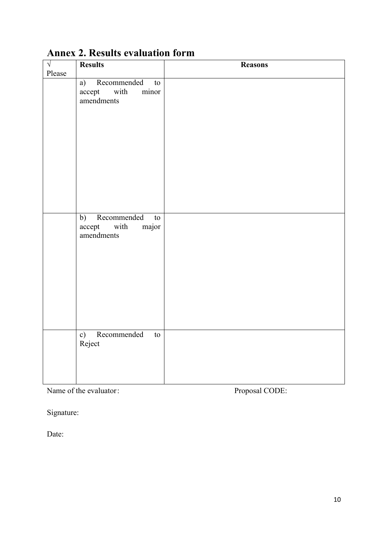| $\sqrt{ }$ | <b>Results</b>                                                                                                       | <b>Reasons</b> |
|------------|----------------------------------------------------------------------------------------------------------------------|----------------|
| Please     |                                                                                                                      |                |
|            | a) Recommended<br>to<br>with<br>accept<br>minor<br>amendments                                                        |                |
|            | Recommended<br>b)<br>$\mathop{\mathrm{to}}$<br>major<br>accept with<br>amendments<br>Recommended<br>c)<br>${\rm to}$ |                |
|            | Reject                                                                                                               |                |

# <span id="page-9-0"></span>**Annex 2. Results evaluation form**

Name of the evaluator: Proposal CODE:

Signature:

Date: